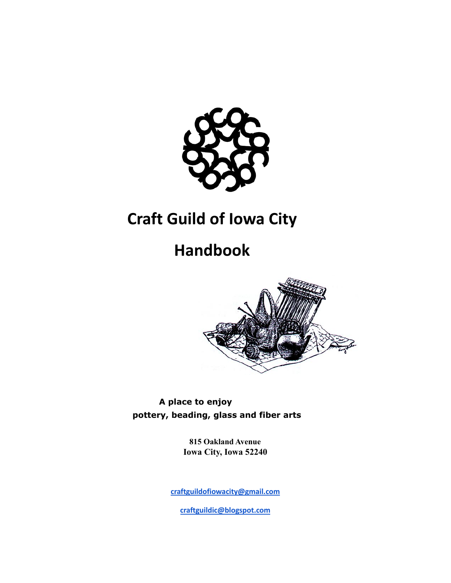

## **Craft Guild of Iowa City**

# **Handbook**



**A place to enjoy pottery, beading, glass and fiber arts**

> **815 Oakland Avenue Iowa City, Iowa 52240**

**[craftguildofiowacity@gmail.com](mailto:craftguildofiowacity@gmail.com)**

**[craftguildic@blogspot.com](mailto:craftguildic@blogspot.com)**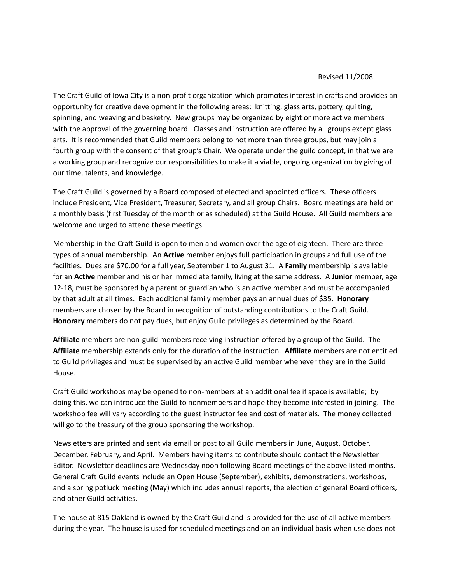#### Revised 11/2008

The Craft Guild of Iowa City is a non-profit organization which promotes interest in crafts and provides an opportunity for creative development in the following areas: knitting, glass arts, pottery, quilting, spinning, and weaving and basketry. New groups may be organized by eight or more active members with the approval of the governing board. Classes and instruction are offered by all groups except glass arts. It is recommended that Guild members belong to not more than three groups, but may join a fourth group with the consent of that group's Chair. We operate under the guild concept, in that we are a working group and recognize our responsibilities to make it a viable, ongoing organization by giving of our time, talents, and knowledge.

The Craft Guild is governed by a Board composed of elected and appointed officers. These officers include President, Vice President, Treasurer, Secretary, and all group Chairs. Board meetings are held on a monthly basis (first Tuesday of the month or as scheduled) at the Guild House. All Guild members are welcome and urged to attend these meetings.

Membership in the Craft Guild is open to men and women over the age of eighteen. There are three types of annual membership. An **Active** member enjoys full participation in groups and full use of the facilities. Dues are \$70.00 for a full year, September 1 to August 31. A **Family** membership is available for an **Active** member and his or her immediate family, living at the same address. A **Junior** member, age 12-18, must be sponsored by a parent or guardian who is an active member and must be accompanied by that adult at all times. Each additional family member pays an annual dues of \$35. **Honorary** members are chosen by the Board in recognition of outstanding contributions to the Craft Guild. **Honorary** members do not pay dues, but enjoy Guild privileges as determined by the Board.

**Affiliate** members are non-guild members receiving instruction offered by a group of the Guild. The **Affiliate** membership extends only for the duration of the instruction. **Affiliate** members are not entitled to Guild privileges and must be supervised by an active Guild member whenever they are in the Guild House.

Craft Guild workshops may be opened to non-members at an additional fee if space is available; by doing this, we can introduce the Guild to nonmembers and hope they become interested in joining. The workshop fee will vary according to the guest instructor fee and cost of materials. The money collected will go to the treasury of the group sponsoring the workshop.

Newsletters are printed and sent via email or post to all Guild members in June, August, October, December, February, and April. Members having items to contribute should contact the Newsletter Editor. Newsletter deadlines are Wednesday noon following Board meetings of the above listed months. General Craft Guild events include an Open House (September), exhibits, demonstrations, workshops, and a spring potluck meeting (May) which includes annual reports, the election of general Board officers, and other Guild activities.

The house at 815 Oakland is owned by the Craft Guild and is provided for the use of all active members during the year. The house is used for scheduled meetings and on an individual basis when use does not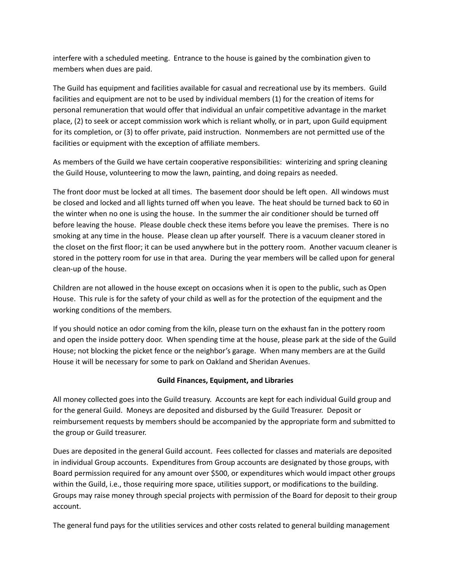interfere with a scheduled meeting. Entrance to the house is gained by the combination given to members when dues are paid.

The Guild has equipment and facilities available for casual and recreational use by its members. Guild facilities and equipment are not to be used by individual members (1) for the creation of items for personal remuneration that would offer that individual an unfair competitive advantage in the market place, (2) to seek or accept commission work which is reliant wholly, or in part, upon Guild equipment for its completion, or (3) to offer private, paid instruction. Nonmembers are not permitted use of the facilities or equipment with the exception of affiliate members.

As members of the Guild we have certain cooperative responsibilities: winterizing and spring cleaning the Guild House, volunteering to mow the lawn, painting, and doing repairs as needed.

The front door must be locked at all times. The basement door should be left open. All windows must be closed and locked and all lights turned off when you leave. The heat should be turned back to 60 in the winter when no one is using the house. In the summer the air conditioner should be turned off before leaving the house. Please double check these items before you leave the premises. There is no smoking at any time in the house. Please clean up after yourself. There is a vacuum cleaner stored in the closet on the first floor; it can be used anywhere but in the pottery room. Another vacuum cleaner is stored in the pottery room for use in that area. During the year members will be called upon for general clean-up of the house.

Children are not allowed in the house except on occasions when it is open to the public, such as Open House. This rule is for the safety of your child as well as for the protection of the equipment and the working conditions of the members.

If you should notice an odor coming from the kiln, please turn on the exhaust fan in the pottery room and open the inside pottery door. When spending time at the house, please park at the side of the Guild House; not blocking the picket fence or the neighbor's garage. When many members are at the Guild House it will be necessary for some to park on Oakland and Sheridan Avenues.

### **Guild Finances, Equipment, and Libraries**

All money collected goes into the Guild treasury. Accounts are kept for each individual Guild group and for the general Guild. Moneys are deposited and disbursed by the Guild Treasurer. Deposit or reimbursement requests by members should be accompanied by the appropriate form and submitted to the group or Guild treasurer.

Dues are deposited in the general Guild account. Fees collected for classes and materials are deposited in individual Group accounts. Expenditures from Group accounts are designated by those groups, with Board permission required for any amount over \$500, or expenditures which would impact other groups within the Guild, i.e., those requiring more space, utilities support, or modifications to the building. Groups may raise money through special projects with permission of the Board for deposit to their group account.

The general fund pays for the utilities services and other costs related to general building management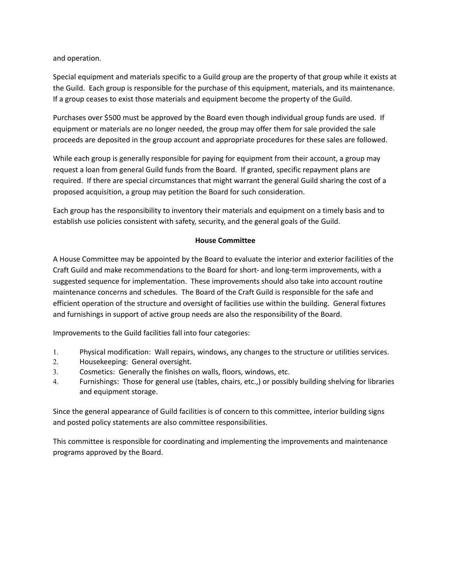and operation.

Special equipment and materials specific to a Guild group are the property of that group while it exists at the Guild. Each group is responsible for the purchase of this equipment, materials, and its maintenance. If a group ceases to exist those materials and equipment become the property of the Guild.

Purchases over \$500 must be approved by the Board even though individual group funds are used. If equipment or materials are no longer needed, the group may offer them for sale provided the sale proceeds are deposited in the group account and appropriate procedures for these sales are followed.

While each group is generally responsible for paying for equipment from their account, a group may request a loan from general Guild funds from the Board. If granted, specific repayment plans are required. If there are special circumstances that might warrant the general Guild sharing the cost of a proposed acquisition, a group may petition the Board for such consideration.

Each group has the responsibility to inventory their materials and equipment on a timely basis and to establish use policies consistent with safety, security, and the general goals of the Guild.

#### **House Committee**

A House Committee may be appointed by the Board to evaluate the interior and exterior facilities of the Craft Guild and make recommendations to the Board for short- and long-term improvements, with a suggested sequence for implementation. These improvements should also take into account routine maintenance concerns and schedules. The Board of the Craft Guild is responsible for the safe and efficient operation of the structure and oversight of facilities use within the building. General fixtures and furnishings in support of active group needs are also the responsibility of the Board.

Improvements to the Guild facilities fall into four categories:

- 1. Physical modification: Wall repairs, windows, any changes to the structure or utilities services.
- 2. Housekeeping: General oversight.
- 3. Cosmetics: Generally the finishes on walls, floors, windows, etc.
- 4. Furnishings: Those for general use (tables, chairs, etc.,) or possibly building shelving for libraries and equipment storage.

Since the general appearance of Guild facilities is of concern to this committee, interior building signs and posted policy statements are also committee responsibilities.

This committee is responsible for coordinating and implementing the improvements and maintenance programs approved by the Board.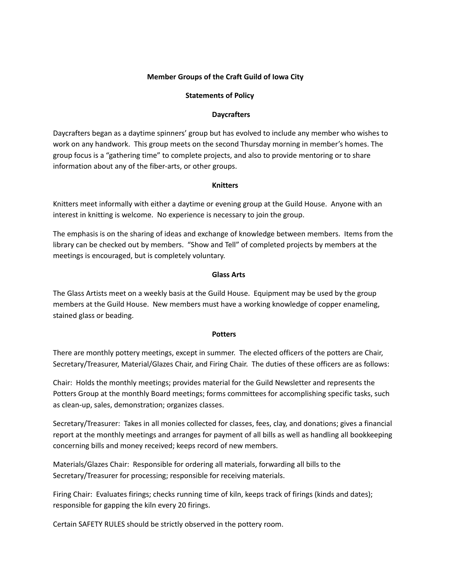### **Member Groups of the Craft Guild of Iowa City**

#### **Statements of Policy**

#### **Daycrafters**

Daycrafters began as a daytime spinners' group but has evolved to include any member who wishes to work on any handwork. This group meets on the second Thursday morning in member's homes. The group focus is a "gathering time" to complete projects, and also to provide mentoring or to share information about any of the fiber-arts, or other groups.

#### **Knitters**

Knitters meet informally with either a daytime or evening group at the Guild House. Anyone with an interest in knitting is welcome. No experience is necessary to join the group.

The emphasis is on the sharing of ideas and exchange of knowledge between members. Items from the library can be checked out by members. "Show and Tell" of completed projects by members at the meetings is encouraged, but is completely voluntary.

#### **Glass Arts**

The Glass Artists meet on a weekly basis at the Guild House. Equipment may be used by the group members at the Guild House. New members must have a working knowledge of copper enameling, stained glass or beading.

#### **Potters**

There are monthly pottery meetings, except in summer. The elected officers of the potters are Chair, Secretary/Treasurer, Material/Glazes Chair, and Firing Chair. The duties of these officers are as follows:

Chair: Holds the monthly meetings; provides material for the Guild Newsletter and represents the Potters Group at the monthly Board meetings; forms committees for accomplishing specific tasks, such as clean-up, sales, demonstration; organizes classes.

Secretary/Treasurer: Takes in all monies collected for classes, fees, clay, and donations; gives a financial report at the monthly meetings and arranges for payment of all bills as well as handling all bookkeeping concerning bills and money received; keeps record of new members.

Materials/Glazes Chair: Responsible for ordering all materials, forwarding all bills to the Secretary/Treasurer for processing; responsible for receiving materials.

Firing Chair: Evaluates firings; checks running time of kiln, keeps track of firings (kinds and dates); responsible for gapping the kiln every 20 firings.

Certain SAFETY RULES should be strictly observed in the pottery room.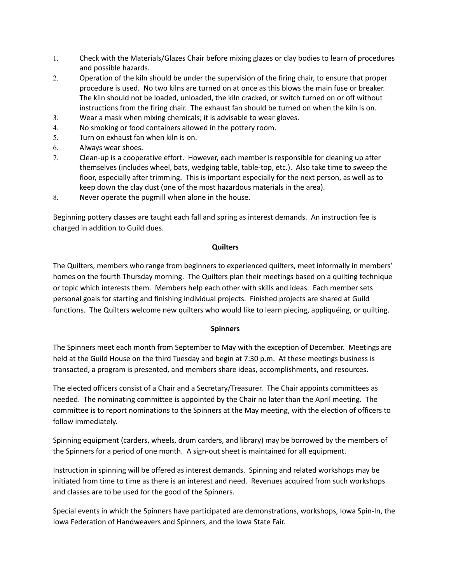- 1. Check with the Materials/Glazes Chair before mixing glazes or clay bodies to learn of procedures and possible hazards.
- 2. Operation of the kiln should be under the supervision of the firing chair, to ensure that proper procedure is used. No two kilns are turned on at once as this blows the main fuse or breaker. The kiln should not be loaded, unloaded, the kiln cracked, or switch turned on or off without instructions from the firing chair. The exhaust fan should be turned on when the kiln is on.
- 3. Wear a mask when mixing chemicals; it is advisable to wear gloves.
- 4. No smoking or food containers allowed in the pottery room.
- 5. Turn on exhaust fan when kiln is on.
- 6. Always wear shoes.
- 7. Clean-up is a cooperative effort. However, each member is responsible for cleaning up after themselves (includes wheel, bats, wedging table, table-top, etc.). Also take time to sweep the floor, especially after trimming. This is important especially for the next person, as well as to keep down the clay dust (one of the most hazardous materials in the area).
- 8. Never operate the pugmill when alone in the house.

Beginning pottery classes are taught each fall and spring as interest demands. An instruction fee is charged in addition to Guild dues.

#### **Quilters**

The Quilters, members who range from beginners to experienced quilters, meet informally in members' homes on the fourth Thursday morning. The Quilters plan their meetings based on a quilting technique or topic which interests them. Members help each other with skills and ideas. Each member sets personal goals for starting and finishing individual projects. Finished projects are shared at Guild functions. The Quilters welcome new quilters who would like to learn piecing, appliquéing, or quilting.

#### **Spinners**

The Spinners meet each month from September to May with the exception of December. Meetings are held at the Guild House on the third Tuesday and begin at 7:30 p.m. At these meetings business is transacted, a program is presented, and members share ideas, accomplishments, and resources.

The elected officers consist of a Chair and a Secretary/Treasurer. The Chair appoints committees as needed. The nominating committee is appointed by the Chair no later than the April meeting. The committee is to report nominations to the Spinners at the May meeting, with the election of officers to follow immediately.

Spinning equipment (carders, wheels, drum carders, and library) may be borrowed by the members of the Spinners for a period of one month. A sign-out sheet is maintained for all equipment.

Instruction in spinning will be offered as interest demands. Spinning and related workshops may be initiated from time to time as there is an interest and need. Revenues acquired from such workshops and classes are to be used for the good of the Spinners.

Special events in which the Spinners have participated are demonstrations, workshops, Iowa Spin-In, the Iowa Federation of Handweavers and Spinners, and the Iowa State Fair.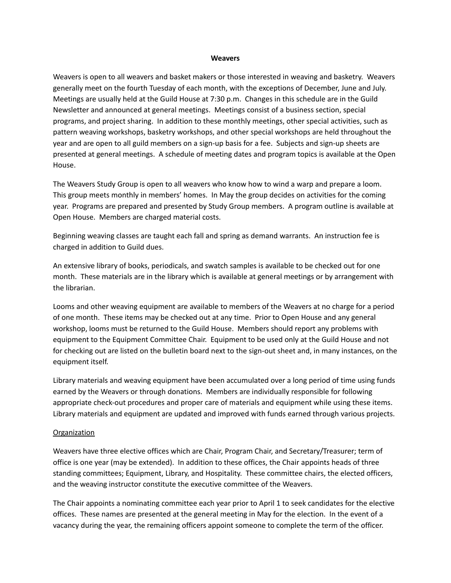#### **Weavers**

Weavers is open to all weavers and basket makers or those interested in weaving and basketry. Weavers generally meet on the fourth Tuesday of each month, with the exceptions of December, June and July. Meetings are usually held at the Guild House at 7:30 p.m. Changes in this schedule are in the Guild Newsletter and announced at general meetings. Meetings consist of a business section, special programs, and project sharing. In addition to these monthly meetings, other special activities, such as pattern weaving workshops, basketry workshops, and other special workshops are held throughout the year and are open to all guild members on a sign-up basis for a fee. Subjects and sign-up sheets are presented at general meetings. A schedule of meeting dates and program topics is available at the Open House.

The Weavers Study Group is open to all weavers who know how to wind a warp and prepare a loom. This group meets monthly in members' homes. In May the group decides on activities for the coming year. Programs are prepared and presented by Study Group members. A program outline is available at Open House. Members are charged material costs.

Beginning weaving classes are taught each fall and spring as demand warrants. An instruction fee is charged in addition to Guild dues.

An extensive library of books, periodicals, and swatch samples is available to be checked out for one month. These materials are in the library which is available at general meetings or by arrangement with the librarian.

Looms and other weaving equipment are available to members of the Weavers at no charge for a period of one month. These items may be checked out at any time. Prior to Open House and any general workshop, looms must be returned to the Guild House. Members should report any problems with equipment to the Equipment Committee Chair. Equipment to be used only at the Guild House and not for checking out are listed on the bulletin board next to the sign-out sheet and, in many instances, on the equipment itself.

Library materials and weaving equipment have been accumulated over a long period of time using funds earned by the Weavers or through donations. Members are individually responsible for following appropriate check-out procedures and proper care of materials and equipment while using these items. Library materials and equipment are updated and improved with funds earned through various projects.

#### **Organization**

Weavers have three elective offices which are Chair, Program Chair, and Secretary/Treasurer; term of office is one year (may be extended). In addition to these offices, the Chair appoints heads of three standing committees; Equipment, Library, and Hospitality. These committee chairs, the elected officers, and the weaving instructor constitute the executive committee of the Weavers.

The Chair appoints a nominating committee each year prior to April 1 to seek candidates for the elective offices. These names are presented at the general meeting in May for the election. In the event of a vacancy during the year, the remaining officers appoint someone to complete the term of the officer.